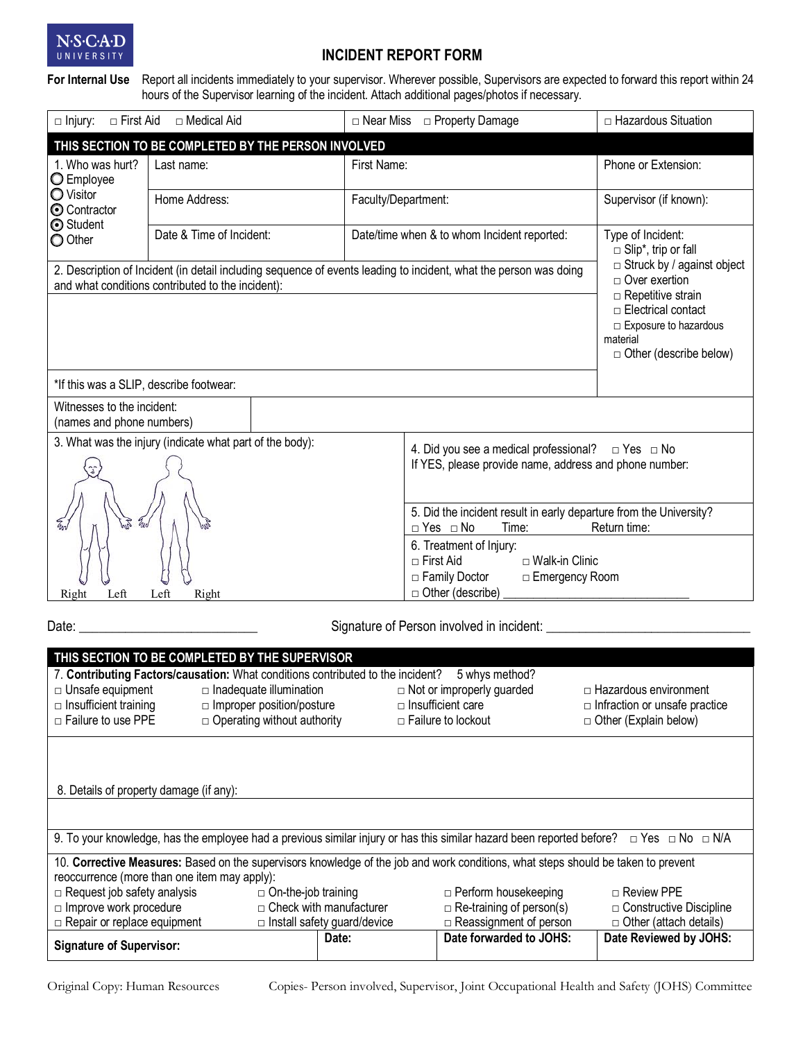

# **INCIDENT REPORT FORM**

**For Internal Use** Report all incidents immediately to your supervisor. Wherever possible, Supervisors are expected to forward this report within 24 hours of the Supervisor learning of the incident. Attach additional pages/photos if necessary.

| □ Medical Aid<br>$\Box$ Injury:<br>□ First Aid                                                                                                                         |                                                                                                                                                                                                 | $\Box$ Near Miss                            | □ Property Damage                                                                                                        | □ Hazardous Situation                                        |  |  |
|------------------------------------------------------------------------------------------------------------------------------------------------------------------------|-------------------------------------------------------------------------------------------------------------------------------------------------------------------------------------------------|---------------------------------------------|--------------------------------------------------------------------------------------------------------------------------|--------------------------------------------------------------|--|--|
| THIS SECTION TO BE COMPLETED BY THE PERSON INVOLVED                                                                                                                    |                                                                                                                                                                                                 |                                             |                                                                                                                          |                                                              |  |  |
| 1. Who was hurt?<br>O Employee                                                                                                                                         | Last name:                                                                                                                                                                                      | First Name:                                 |                                                                                                                          | Phone or Extension:                                          |  |  |
| O Visitor<br><b>O</b> Contractor<br>Student                                                                                                                            | Home Address:                                                                                                                                                                                   | Faculty/Department:                         |                                                                                                                          | Supervisor (if known):                                       |  |  |
| O Other                                                                                                                                                                | Date & Time of Incident:                                                                                                                                                                        | Date/time when & to whom Incident reported: |                                                                                                                          | Type of Incident:<br>$\Box$ Slip <sup>*</sup> , trip or fall |  |  |
| 2. Description of Incident (in detail including sequence of events leading to incident, what the person was doing<br>and what conditions contributed to the incident): | $\Box$ Struck by / against object<br>$\Box$ Over exertion<br>$\Box$ Repetitive strain<br>$\Box$ Electrical contact<br>$\Box$ Exposure to hazardous<br>material<br>$\Box$ Other (describe below) |                                             |                                                                                                                          |                                                              |  |  |
|                                                                                                                                                                        |                                                                                                                                                                                                 |                                             |                                                                                                                          |                                                              |  |  |
| *If this was a SLIP, describe footwear:                                                                                                                                |                                                                                                                                                                                                 |                                             |                                                                                                                          |                                                              |  |  |
| Witnesses to the incident:<br>(names and phone numbers)                                                                                                                |                                                                                                                                                                                                 |                                             |                                                                                                                          |                                                              |  |  |
| 3. What was the injury (indicate what part of the body):                                                                                                               |                                                                                                                                                                                                 |                                             | 4. Did you see a medical professional?<br>$\Box$ Yes $\Box$ No<br>If YES, please provide name, address and phone number: |                                                              |  |  |
| $\frac{q}{2}$                                                                                                                                                          |                                                                                                                                                                                                 |                                             |                                                                                                                          |                                                              |  |  |
|                                                                                                                                                                        |                                                                                                                                                                                                 | $\Box$ Yes $\Box$ No<br>Time:               | 5. Did the incident result in early departure from the University?<br>Return time:                                       |                                                              |  |  |
|                                                                                                                                                                        |                                                                                                                                                                                                 |                                             | 6. Treatment of Injury:<br>$\sqcap$ First Aid<br>$\sqcap$ Walk-in Clinic<br>□ Family Doctor<br>□ Emergency Room          |                                                              |  |  |
| Left<br>Right<br>Right<br>Left                                                                                                                                         |                                                                                                                                                                                                 | $\Box$ Other (describe)                     |                                                                                                                          |                                                              |  |  |

Date: \_\_\_\_\_\_\_\_\_\_\_\_\_\_\_\_\_\_\_\_\_\_\_\_\_\_\_ Signature of Person involved in incident: \_\_\_\_\_\_\_\_\_\_\_\_\_\_\_\_\_\_\_\_\_\_\_\_\_\_\_\_\_\_\_

| THIS SECTION TO BE COMPLETED BY THE SUPERVISOR                                                                                                        |                                    |                                    |                                  |                                      |  |  |  |  |
|-------------------------------------------------------------------------------------------------------------------------------------------------------|------------------------------------|------------------------------------|----------------------------------|--------------------------------------|--|--|--|--|
| 7. Contributing Factors/causation: What conditions contributed to the incident?<br>5 whys method?                                                     |                                    |                                    |                                  |                                      |  |  |  |  |
| $\Box$ Unsafe equipment                                                                                                                               | $\Box$ Inadequate illumination     |                                    | $\Box$ Not or improperly guarded | $\Box$ Hazardous environment         |  |  |  |  |
| $\Box$ Insufficient training                                                                                                                          | $\Box$ Improper position/posture   |                                    | $\Box$ Insufficient care         | $\Box$ Infraction or unsafe practice |  |  |  |  |
| $\Box$ Failure to use PPE                                                                                                                             | $\Box$ Operating without authority |                                    | $\Box$ Failure to lockout        | $\Box$ Other (Explain below)         |  |  |  |  |
|                                                                                                                                                       |                                    |                                    |                                  |                                      |  |  |  |  |
|                                                                                                                                                       |                                    |                                    |                                  |                                      |  |  |  |  |
|                                                                                                                                                       |                                    |                                    |                                  |                                      |  |  |  |  |
| 8. Details of property damage (if any):                                                                                                               |                                    |                                    |                                  |                                      |  |  |  |  |
|                                                                                                                                                       |                                    |                                    |                                  |                                      |  |  |  |  |
|                                                                                                                                                       |                                    |                                    |                                  |                                      |  |  |  |  |
| 9. To your knowledge, has the employee had a previous similar injury or has this similar hazard been reported before? $\Box$ Yes $\Box$ No $\Box$ N/A |                                    |                                    |                                  |                                      |  |  |  |  |
| 10. Corrective Measures: Based on the supervisors knowledge of the job and work conditions, what steps should be taken to prevent                     |                                    |                                    |                                  |                                      |  |  |  |  |
| reoccurrence (more than one item may apply):                                                                                                          |                                    |                                    |                                  |                                      |  |  |  |  |
| $\Box$ Request job safety analysis                                                                                                                    | $\Box$ On-the-job training         |                                    | $\Box$ Perform housekeeping      | $\Box$ Review PPE                    |  |  |  |  |
| $\Box$ Improve work procedure                                                                                                                         |                                    | $\Box$ Check with manufacturer     | $\Box$ Re-training of person(s)  | $\Box$ Constructive Discipline       |  |  |  |  |
| $\Box$ Repair or replace equipment                                                                                                                    |                                    | $\Box$ Install safety guard/device | $\Box$ Reassignment of person    | $\Box$ Other (attach details)        |  |  |  |  |
| <b>Signature of Supervisor:</b>                                                                                                                       |                                    | Date:                              | Date forwarded to JOHS:          | Date Reviewed by JOHS:               |  |  |  |  |
|                                                                                                                                                       |                                    |                                    |                                  |                                      |  |  |  |  |

Original Copy: Human Resources Copies- Person involved, Supervisor, Joint Occupational Health and Safety (JOHS) Committee